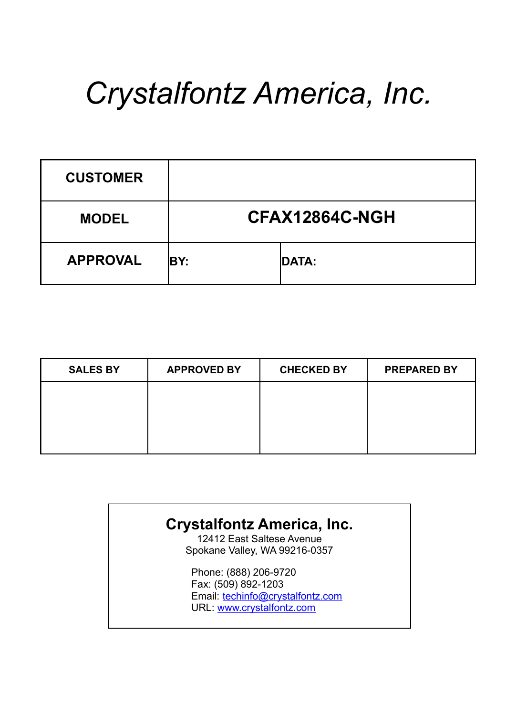# *Crystalfontz America, Inc.*

| <b>CUSTOMER</b> |      |                |
|-----------------|------|----------------|
| <b>MODEL</b>    |      | CFAX12864C-NGH |
| <b>APPROVAL</b> | IBY: | <b>DATA:</b>   |

| <b>SALES BY</b> | <b>APPROVED BY</b> | <b>CHECKED BY</b> | <b>PREPARED BY</b> |
|-----------------|--------------------|-------------------|--------------------|
|                 |                    |                   |                    |
|                 |                    |                   |                    |
|                 |                    |                   |                    |

#### **Crystalfontz America, Inc.**

12412 East Saltese Avenue Spokane Valley, WA 99216-0357

Phone: (888) 206-9720 Fax: (509) 892-1203 Email: techinfo@crystalfontz.com URL: www.crystalfontz.com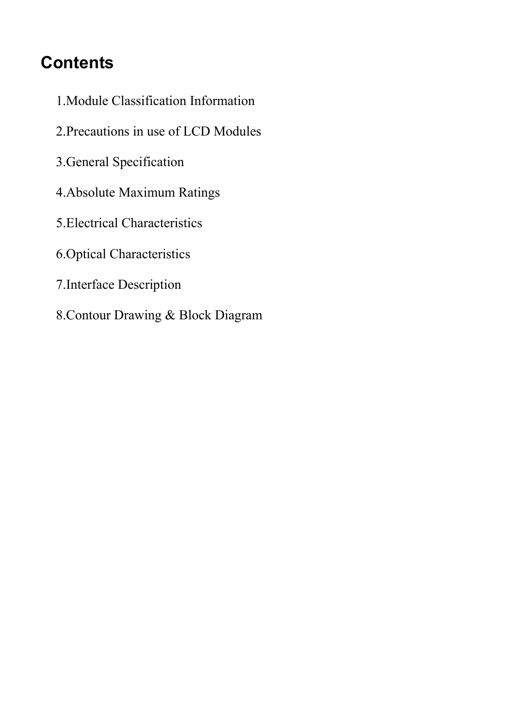# **Contents**

- 1.Module Classification Information
- 2.Precautions in use of LCD Modules
- 3.General Specification
- 4.Absolute Maximum Ratings
- 5.Electrical Characteristics
- 6.Optical Characteristics
- 7.Interface Description
- 8.Contour Drawing & Block Diagram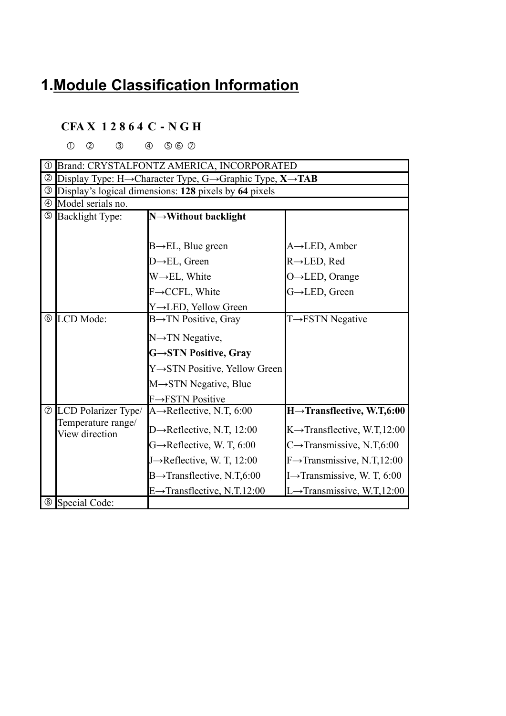## **1.Module Classification Information**

#### **CFA X 1 2 8 6 4 C**-**N G H**

 $0$   $0$   $3$   $0$   $500$ 

| $\circled{0}$  |                                      | Brand: CRYSTALFONTZ AMERICA, INCORPORATED                           |                                          |
|----------------|--------------------------------------|---------------------------------------------------------------------|------------------------------------------|
| ②              |                                      | Display Type: H→Character Type, G→Graphic Type, $X \rightarrow TAB$ |                                          |
| $\circledS$    |                                      | Display's logical dimensions: 128 pixels by 64 pixels               |                                          |
| $\circled{4}$  | Model serials no.                    |                                                                     |                                          |
|                | <b>5</b> Backlight Type:             | N→Without backlight                                                 |                                          |
|                |                                      |                                                                     |                                          |
|                |                                      | $B \rightarrow EL$ , Blue green                                     | $A \rightarrow$ LED, Amber               |
|                |                                      | $D \rightarrow EL$ , Green                                          | $R \rightarrow$ LED, Red                 |
|                |                                      | $W \rightarrow EL$ , White                                          | O→LED, Orange                            |
|                |                                      | F→CCFL, White                                                       | G→LED, Green                             |
|                |                                      | Y→LED, Yellow Green                                                 |                                          |
|                | © LCD Mode:                          | $B\rightarrow TN$ Positive, Gray                                    | $T \rightarrow FSTN$ Negative            |
|                |                                      | N→TN Negative,                                                      |                                          |
|                |                                      | G→STN Positive, Gray                                                |                                          |
|                |                                      | Y→STN Positive, Yellow Green                                        |                                          |
|                |                                      | M→STN Negative, Blue                                                |                                          |
|                |                                      | $F \rightarrow FSTN$ Positive                                       |                                          |
|                | <b><i>©</i></b> LCD Polarizer Type/  | A $\rightarrow$ Reflective, N.T, 6:00                               | $H \rightarrow$ Transflective, W.T,6:00  |
|                | Temperature range/<br>View direction | D $\rightarrow$ Reflective, N.T, 12:00                              | $K \rightarrow$ Transflective, W.T,12:00 |
|                |                                      | $G \rightarrow$ Reflective, W. T, 6:00                              | C $\rightarrow$ Transmissive, N.T,6:00   |
|                |                                      | J $\rightarrow$ Reflective, W. T, 12:00                             | $F \rightarrow$ Transmissive, N.T,12:00  |
|                |                                      | $B\rightarrow$ Transflective, N.T,6:00                              | I $\rightarrow$ Transmissive, W. T, 6:00 |
|                |                                      | $E \rightarrow$ Transflective, N.T.12:00                            | $L \rightarrow$ Transmissive, W.T,12:00  |
| $^{\circledR}$ | Special Code:                        |                                                                     |                                          |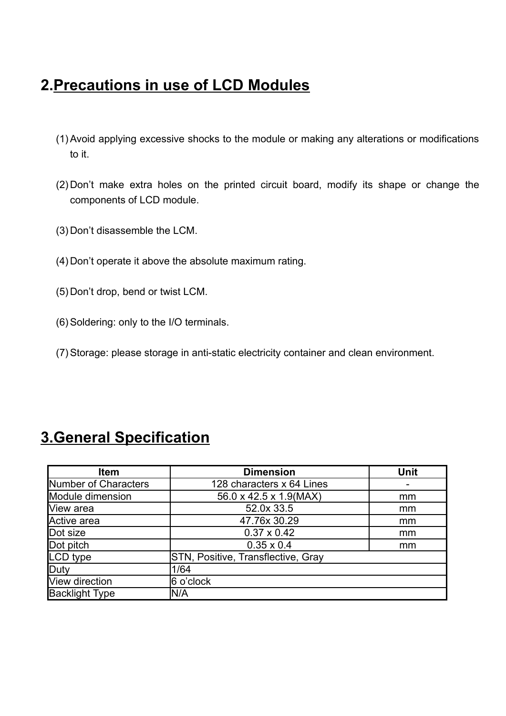#### **2.Precautions in use of LCD Modules**

- (1) Avoid applying excessive shocks to the module or making any alterations or modifications to it.
- (2) Don't make extra holes on the printed circuit board, modify its shape or change the components of LCD module.
- (3) Don't disassemble the LCM.
- (4) Don't operate it above the absolute maximum rating.
- (5) Don't drop, bend or twist LCM.
- (6) Soldering: only to the I/O terminals.
- (7) Storage: please storage in anti-static electricity container and clean environment.

| <b>Item</b>           | <b>Dimension</b>                   | <b>Unit</b> |
|-----------------------|------------------------------------|-------------|
| Number of Characters  | 128 characters x 64 Lines          |             |
| Module dimension      | 56.0 x 42.5 x 1.9(MAX)             | mm          |
| View area             | 52.0x 33.5                         | mm          |
| Active area           | 47.76x 30.29                       | mm          |
| Dot size              | $0.37 \times 0.42$                 | mm          |
| Dot pitch             | $0.35 \times 0.4$                  | mm          |
| LCD type              | STN, Positive, Transflective, Gray |             |
| Duty                  | 1/64                               |             |
| View direction        | 6 o'clock                          |             |
| <b>Backlight Type</b> | N/A                                |             |

#### **3.General Specification**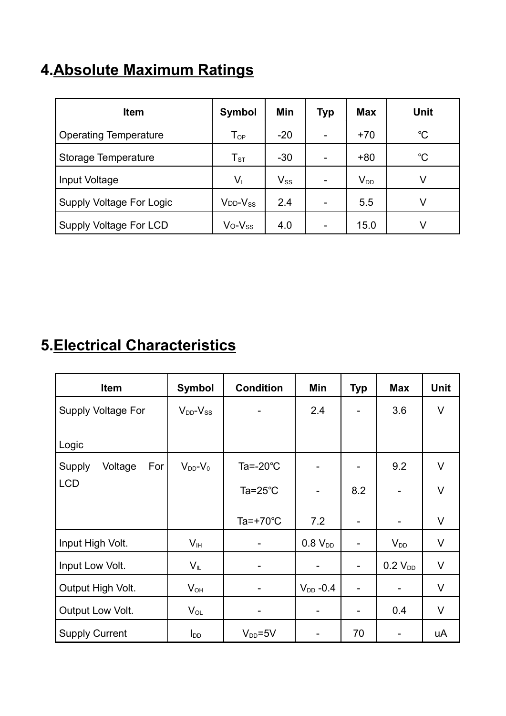#### **4.Absolute Maximum Ratings**

| <b>Item</b>                     | <b>Symbol</b>              | Min      | Тур | <b>Max</b>                 | Unit        |
|---------------------------------|----------------------------|----------|-----|----------------------------|-------------|
| <b>Operating Temperature</b>    | $\mathsf{T}_{\mathsf{OP}}$ | $-20$    |     | $+70$                      | $^{\circ}C$ |
| Storage Temperature             | ${\sf T}_{\texttt{ST}}$    | $-30$    |     | $+80$                      | $^{\circ}C$ |
| Input Voltage                   | $V_{\perp}$                | $V_{SS}$ |     | $\mathsf{V}_{\texttt{DD}}$ | V           |
| <b>Supply Voltage For Logic</b> | $V_{DD}$ - $V_{SS}$        | 2.4      |     | 5.5                        | V           |
| Supply Voltage For LCD          | $V_0 - V_{SS}$             | 4.0      |     | 15.0                       | V           |

## **5.Electrical Characteristics**

| Item                     | <b>Symbol</b>       | <b>Condition</b>    | Min                          | <b>Typ</b> | <b>Max</b>   | <b>Unit</b> |
|--------------------------|---------------------|---------------------|------------------------------|------------|--------------|-------------|
| Supply Voltage For       | $V_{DD}$ - $V_{SS}$ |                     | 2.4                          |            | 3.6          | V           |
| Logic                    |                     |                     |                              |            |              |             |
| Voltage<br>Supply<br>For | $V_{DD}$ - $V_0$    | Ta=- $20^{\circ}$ C | $\overline{\phantom{0}}$     |            | 9.2          | V           |
| <b>LCD</b>               |                     | Ta= $25^{\circ}$ C  | -                            | 8.2        |              | $\vee$      |
|                          |                     | Ta=+70 $^{\circ}$ C | 7.2                          | -          |              | V           |
| Input High Volt.         | V <sub>IH</sub>     |                     | $0.8 V_{DD}$                 |            | $V_{DD}$     | V           |
| Input Low Volt.          | $V_{IL}$            |                     | -                            |            | $0.2 V_{DD}$ | V           |
| Output High Volt.        | $V_{OH}$            |                     | $V_{DD}$ -0.4                |            |              | V           |
| Output Low Volt.         | $V_{OL}$            |                     | $\qquad \qquad \blacksquare$ |            | 0.4          | V           |
| <b>Supply Current</b>    | I <sub>DD</sub>     | $V_{DD} = 5V$       |                              | 70         |              | uA          |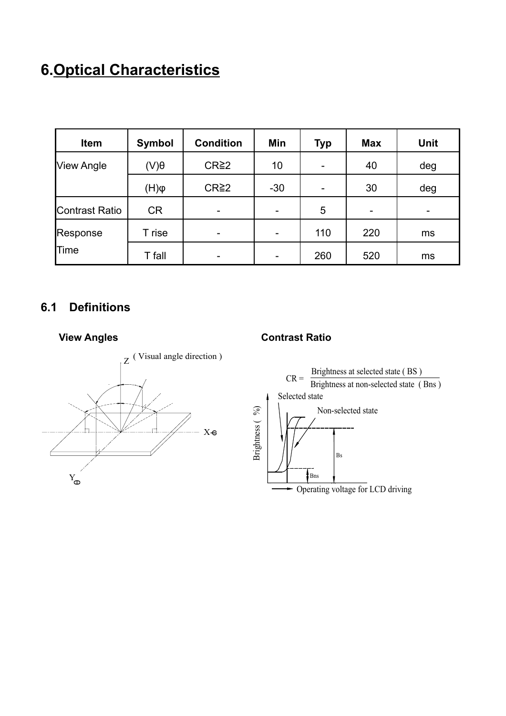# **6.Optical Characteristics**

| Item              | <b>Symbol</b> | <b>Condition</b>  | Min   | Typ                      | <b>Max</b> | <b>Unit</b> |
|-------------------|---------------|-------------------|-------|--------------------------|------------|-------------|
| <b>View Angle</b> | $(V)\theta$   | CR <sup>2</sup> 2 | 10    | $\overline{\phantom{0}}$ | 40         | deg         |
|                   | $\phi(H)$     | CR <sup>2</sup> 2 | $-30$ | $\overline{\phantom{0}}$ | 30         | deg         |
| Contrast Ratio    | <b>CR</b>     | -                 |       | 5                        | -          |             |
| Response          | T rise        | -                 | -     | 110                      | 220        | ms          |
| Time              | T fall        | -                 | -     | 260                      | 520        | ms          |

#### **6.1 Definitions**



#### **View Angles Contrast Ratio**

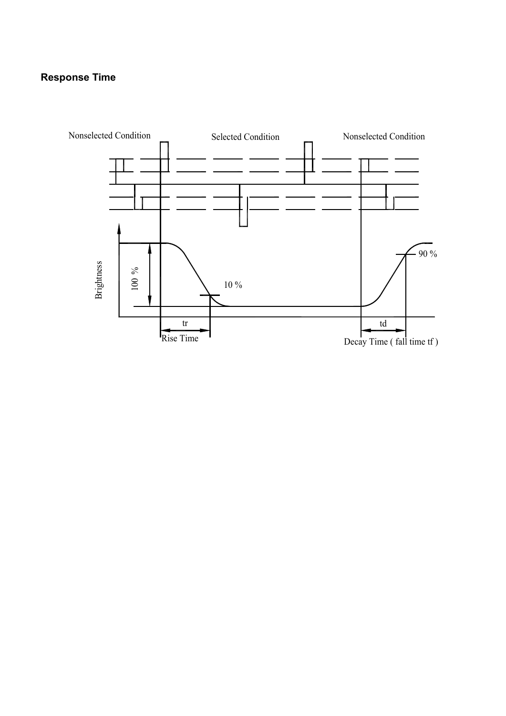#### **Response Time**

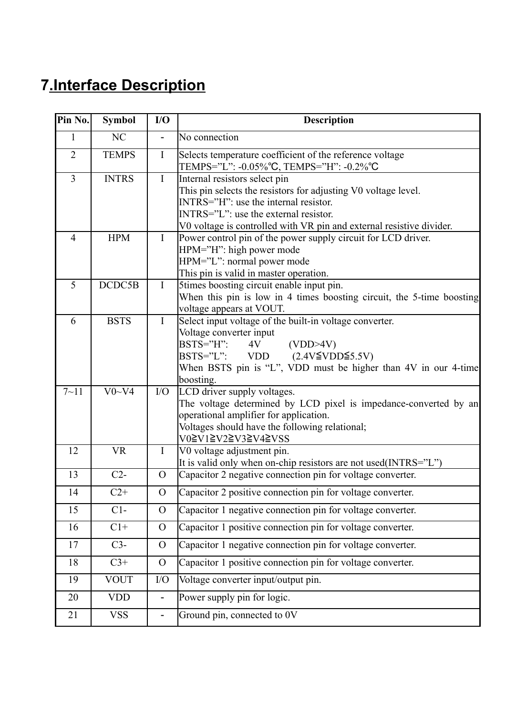# **7.Interface Description**

| Pin No.        | <b>Symbol</b> | I/O                      | <b>Description</b>                                                                                                                                                                                                                                              |
|----------------|---------------|--------------------------|-----------------------------------------------------------------------------------------------------------------------------------------------------------------------------------------------------------------------------------------------------------------|
| 1              | NC            |                          | No connection                                                                                                                                                                                                                                                   |
| $\overline{2}$ | <b>TEMPS</b>  | $\mathbf{I}$             | Selects temperature coefficient of the reference voltage<br>TEMPS="L": -0.05%°C, TEMPS="H": -0.2%°C                                                                                                                                                             |
| $\overline{3}$ | <b>INTRS</b>  | I                        | Internal resistors select pin<br>This pin selects the resistors for adjusting V0 voltage level.<br>$INTRS='H'':$ use the internal resistor.<br>$INTRS="L"$ : use the external resistor.<br>V0 voltage is controlled with VR pin and external resistive divider. |
| $\overline{4}$ | <b>HPM</b>    | $\mathbf{I}$             | Power control pin of the power supply circuit for LCD driver.<br>HPM="H": high power mode<br>HPM="L": normal power mode<br>This pin is valid in master operation.                                                                                               |
| 5              | DCDC5B        | $\mathbf I$              | 5times boosting circuit enable input pin.<br>When this pin is low in 4 times boosting circuit, the 5-time boosting<br>voltage appears at VOUT.                                                                                                                  |
| 6              | <b>BSTS</b>   | $\mathbf I$              | Select input voltage of the built-in voltage converter.<br>Voltage converter input<br>$BSTS="H"$ :<br>(VDD>4V)<br>4V<br>BSTS="L": VDD $(2.4V\leq VDD \leq 5.5V)$<br>When BSTS pin is "L", VDD must be higher than 4V in our 4-time<br>boosting.                 |
| $7 - 11$       | $V0-V4$       | $\rm I/O$                | LCD driver supply voltages.<br>The voltage determined by LCD pixel is impedance-converted by an<br>operational amplifier for application.<br>Voltages should have the following relational;<br>V0≧V1≧V2≧V3≧V4≧VSS                                               |
| 12             | <b>VR</b>     | $\mathbf{I}$             | V0 voltage adjustment pin.<br>It is valid only when on-chip resistors are not used(INTRS="L")                                                                                                                                                                   |
| 13             | $C2-$         | $\overline{O}$           | Capacitor 2 negative connection pin for voltage converter.                                                                                                                                                                                                      |
| 14             | $C2+$         | $\overline{O}$           | Capacitor 2 positive connection pin for voltage converter.                                                                                                                                                                                                      |
| 15             | $C1-$         | $\overline{O}$           | Capacitor 1 negative connection pin for voltage converter.                                                                                                                                                                                                      |
| 16             | $C1+$         | $\overline{O}$           | Capacitor 1 positive connection pin for voltage converter.                                                                                                                                                                                                      |
| 17             | $C3-$         | $\overline{O}$           | Capacitor 1 negative connection pin for voltage converter.                                                                                                                                                                                                      |
| 18             | $C3+$         | $\Omega$                 | Capacitor 1 positive connection pin for voltage converter.                                                                                                                                                                                                      |
| 19             | <b>VOUT</b>   | $\rm I/O$                | Voltage converter input/output pin.                                                                                                                                                                                                                             |
| 20             | <b>VDD</b>    | $\overline{\phantom{0}}$ | Power supply pin for logic.                                                                                                                                                                                                                                     |
| 21             | <b>VSS</b>    |                          | Ground pin, connected to 0V                                                                                                                                                                                                                                     |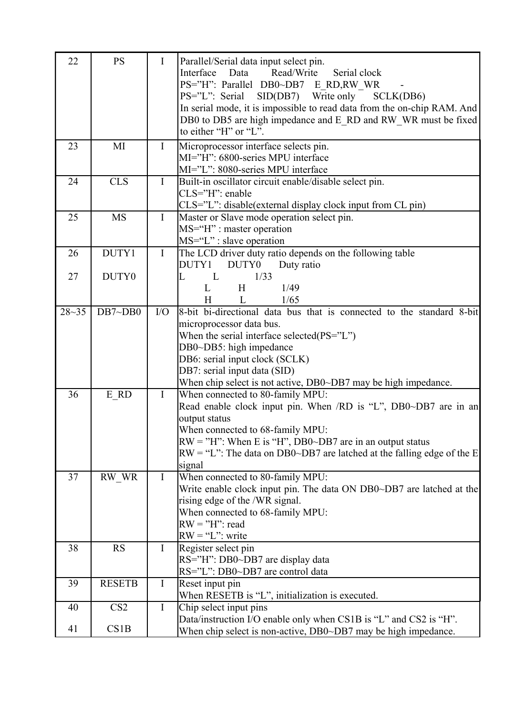| 22        | <b>PS</b>       | $\bf{I}$     | Parallel/Serial data input select pin.<br>Read/Write<br>Serial clock<br>Interface<br>Data                |
|-----------|-----------------|--------------|----------------------------------------------------------------------------------------------------------|
|           |                 |              | PS="H": Parallel DB0~DB7 E RD,RW WR                                                                      |
|           |                 |              | SCLK(DB6)                                                                                                |
|           |                 |              | PS="L": Serial SID(DB7) Write only                                                                       |
|           |                 |              | In serial mode, it is impossible to read data from the on-chip RAM. And                                  |
|           |                 |              | DB0 to DB5 are high impedance and E_RD and RW_WR must be fixed<br>to either "H" or "L".                  |
|           |                 |              |                                                                                                          |
| 23        | MI              | $\mathbf I$  | Microprocessor interface selects pin.                                                                    |
|           |                 |              | MI="H": 6800-series MPU interface                                                                        |
|           |                 |              | MI="L": 8080-series MPU interface                                                                        |
| 24        | <b>CLS</b>      | $\mathbf I$  | Built-in oscillator circuit enable/disable select pin.                                                   |
|           |                 |              | CLS="H": enable                                                                                          |
| 25        | <b>MS</b>       | $\mathbf{I}$ | CLS="L": disable(external display clock input from CL pin)<br>Master or Slave mode operation select pin. |
|           |                 |              | MS="H" : master operation                                                                                |
|           |                 |              | $MS="L"$ : slave operation                                                                               |
| 26        | DUTY1           | $\mathbf I$  | The LCD driver duty ratio depends on the following table                                                 |
|           |                 |              | DUTY1<br>DUTY0<br>Duty ratio                                                                             |
| 27        | DUTY0           |              | L<br>L<br>1/33                                                                                           |
|           |                 |              | L<br>H<br>1/49                                                                                           |
|           |                 |              | 1/65<br>H<br>L                                                                                           |
| $28 - 35$ | DB7~DB0         | $\rm I/O$    | 8-bit bi-directional data bus that is connected to the standard 8-bit                                    |
|           |                 |              | microprocessor data bus.                                                                                 |
|           |                 |              | When the serial interface selected( $PS="T$ )                                                            |
|           |                 |              | DB0~DB5: high impedance                                                                                  |
|           |                 |              | DB6: serial input clock (SCLK)                                                                           |
|           |                 |              | DB7: serial input data (SID)                                                                             |
|           |                 |              | When chip select is not active, DB0~DB7 may be high impedance.                                           |
| 36        | E RD            | $\bf{I}$     | When connected to 80-family MPU:                                                                         |
|           |                 |              | Read enable clock input pin. When /RD is "L", DB0~DB7 are in an                                          |
|           |                 |              | output status                                                                                            |
|           |                 |              | When connected to 68-family MPU:                                                                         |
|           |                 |              | $RW = "H"$ : When E is "H", DB0~DB7 are in an output status                                              |
|           |                 |              | $RW = "L"$ : The data on DB0~DB7 are latched at the falling edge of the E                                |
|           |                 |              | signal                                                                                                   |
| 37        | RW_WR           | $\mathbf I$  | When connected to 80-family MPU:                                                                         |
|           |                 |              | Write enable clock input pin. The data ON DB0~DB7 are latched at the                                     |
|           |                 |              | rising edge of the /WR signal.                                                                           |
|           |                 |              | When connected to 68-family MPU:                                                                         |
|           |                 |              | $RW = "H"$ : read                                                                                        |
|           |                 |              | $RW = "L"$ : write                                                                                       |
| 38        | <b>RS</b>       | $\bf{I}$     | Register select pin                                                                                      |
|           |                 |              | RS="H": DB0~DB7 are display data                                                                         |
|           |                 |              | RS="L": DB0~DB7 are control data                                                                         |
| 39        | <b>RESETB</b>   | $\mathbf I$  | Reset input pin                                                                                          |
|           |                 |              | When RESETB is "L", initialization is executed.                                                          |
| 40        | CS <sub>2</sub> | $\bf{I}$     | Chip select input pins                                                                                   |
|           |                 |              | Data/instruction I/O enable only when CS1B is "L" and CS2 is "H".                                        |
| 41        | CS1B            |              | When chip select is non-active, DB0~DB7 may be high impedance.                                           |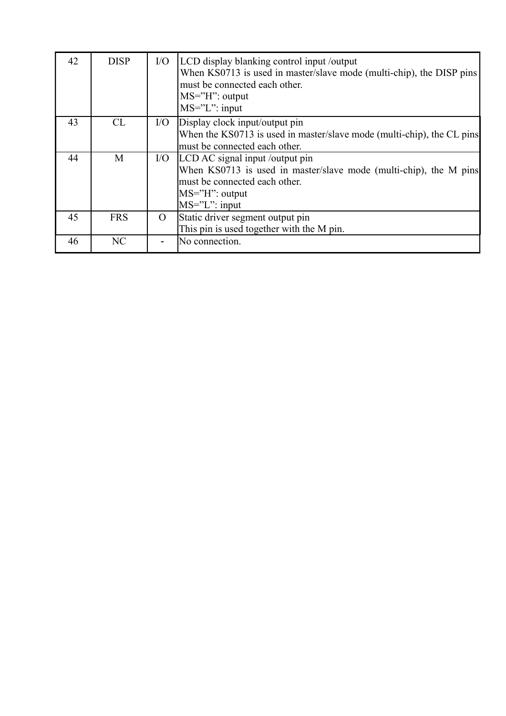| 42 | <b>DISP</b>    | $\rm I/O$ | LCD display blanking control input /output<br>When KS0713 is used in master/slave mode (multi-chip), the DISP pins<br>must be connected each other.<br>$MS="H"$ : output<br>$MS="L" : input$ |
|----|----------------|-----------|----------------------------------------------------------------------------------------------------------------------------------------------------------------------------------------------|
| 43 | CL             | I/O       | Display clock input/output pin                                                                                                                                                               |
|    |                |           | When the KS0713 is used in master/slave mode (multi-chip), the CL pins                                                                                                                       |
|    |                |           | must be connected each other.                                                                                                                                                                |
| 44 | M              | I/O       | LCD AC signal input /output pin                                                                                                                                                              |
|    |                |           | When KS0713 is used in master/slave mode (multi-chip), the M pins                                                                                                                            |
|    |                |           | must be connected each other.                                                                                                                                                                |
|    |                |           | $MS="H"$ : output                                                                                                                                                                            |
|    |                |           | $MS="L" : input$                                                                                                                                                                             |
| 45 | <b>FRS</b>     | $\Omega$  | Static driver segment output pin                                                                                                                                                             |
|    |                |           | This pin is used together with the M pin.                                                                                                                                                    |
| 46 | N <sub>C</sub> |           | No connection.                                                                                                                                                                               |